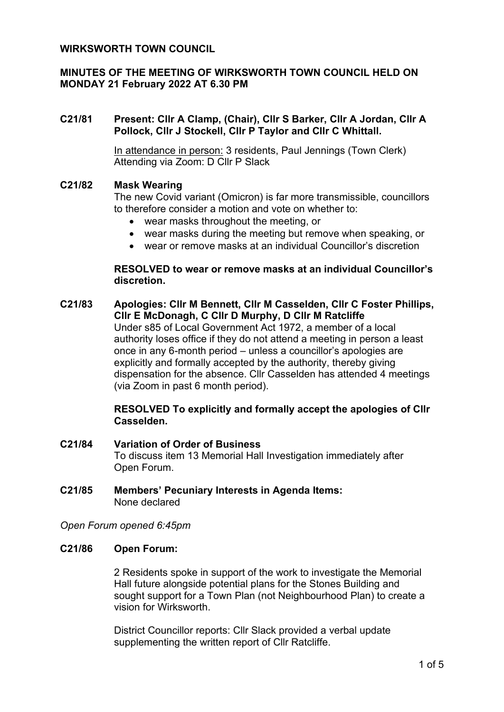## **WIRKSWORTH TOWN COUNCIL**

# **MINUTES OF THE MEETING OF WIRKSWORTH TOWN COUNCIL HELD ON MONDAY 21 February 2022 AT 6.30 PM**

## **C21/81 Present: Cllr A Clamp, (Chair), Cllr S Barker, Cllr A Jordan, Cllr A Pollock, Cllr J Stockell, Cllr P Taylor and Cllr C Whittall.**

In attendance in person: 3 residents, Paul Jennings (Town Clerk) Attending via Zoom: D Cllr P Slack

#### **C21/82 Mask Wearing**

The new Covid variant (Omicron) is far more transmissible, councillors to therefore consider a motion and vote on whether to:

- wear masks throughout the meeting, or
- wear masks during the meeting but remove when speaking, or
- wear or remove masks at an individual Councillor's discretion

### **RESOLVED to wear or remove masks at an individual Councillor's discretion.**

**C21/83 Apologies: Cllr M Bennett, Cllr M Casselden, Cllr C Foster Phillips, Cllr E McDonagh, C Cllr D Murphy, D Cllr M Ratcliffe** Under s85 of Local Government Act 1972, a member of a local authority loses office if they do not attend a meeting in person a least once in any 6-month period – unless a councillor's apologies are explicitly and formally accepted by the authority, thereby giving dispensation for the absence. Cllr Casselden has attended 4 meetings (via Zoom in past 6 month period).

## **RESOLVED To explicitly and formally accept the apologies of Cllr Casselden.**

- **C21/84 Variation of Order of Business** To discuss item 13 Memorial Hall Investigation immediately after Open Forum.
- **C21/85 Members' Pecuniary Interests in Agenda Items:** None declared

#### *Open Forum opened 6:45pm*

#### **C21/86 Open Forum:**

2 Residents spoke in support of the work to investigate the Memorial Hall future alongside potential plans for the Stones Building and sought support for a Town Plan (not Neighbourhood Plan) to create a vision for Wirksworth.

District Councillor reports: Cllr Slack provided a verbal update supplementing the written report of Cllr Ratcliffe.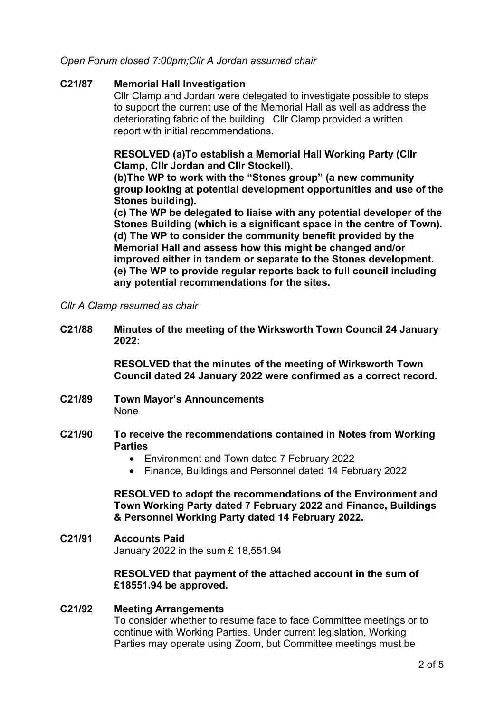# *Open Forum closed 7:00pm;Cllr A Jordan assumed chair*

## **C21/87 Memorial Hall Investigation**

Cllr Clamp and Jordan were delegated to investigate possible to steps to support the current use of the Memorial Hall as well as address the deteriorating fabric of the building. Cllr Clamp provided a written report with initial recommendations.

# **RESOLVED (a)To establish a Memorial Hall Working Party (Cllr Clamp, Cllr Jordan and Cllr Stockell).**

**(b)The WP to work with the "Stones group" (a new community group looking at potential development opportunities and use of the Stones building).** 

**(c) The WP be delegated to liaise with any potential developer of the Stones Building (which is a significant space in the centre of Town). (d) The WP to consider the community benefit provided by the Memorial Hall and assess how this might be changed and/or improved either in tandem or separate to the Stones development. (e) The WP to provide regular reports back to full council including any potential recommendations for the sites.**

*Cllr A Clamp resumed as chair*

**C21/88 Minutes of the meeting of the Wirksworth Town Council 24 January 2022:**

> **RESOLVED that the minutes of the meeting of Wirksworth Town Council dated 24 January 2022 were confirmed as a correct record.**

- **C21/89 Town Mayor's Announcements** None
- **C21/90 To receive the recommendations contained in Notes from Working Parties**
	- Environment and Town dated 7 February 2022
	- Finance, Buildings and Personnel dated 14 February 2022

**RESOLVED to adopt the recommendations of the Environment and Town Working Party dated 7 February 2022 and Finance, Buildings & Personnel Working Party dated 14 February 2022.**

**C21/91 Accounts Paid** January 2022 in the sum £ 18,551.94

#### **RESOLVED that payment of the attached account in the sum of £18551.94 be approved.**

#### **C21/92 Meeting Arrangements**

To consider whether to resume face to face Committee meetings or to continue with Working Parties. Under current legislation, Working Parties may operate using Zoom, but Committee meetings must be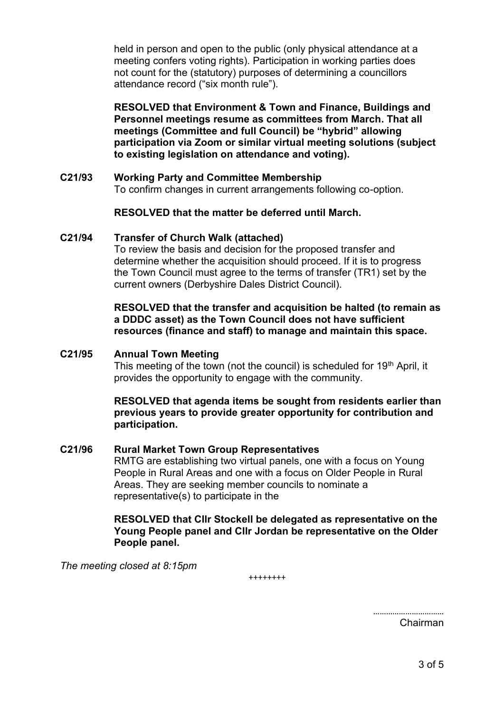held in person and open to the public (only physical attendance at a meeting confers voting rights). Participation in working parties does not count for the (statutory) purposes of determining a councillors attendance record ("six month rule").

**RESOLVED that Environment & Town and Finance, Buildings and Personnel meetings resume as committees from March. That all meetings (Committee and full Council) be "hybrid" allowing participation via Zoom or similar virtual meeting solutions (subject to existing legislation on attendance and voting).** 

**C21/93 Working Party and Committee Membership** To confirm changes in current arrangements following co-option.

# **RESOLVED that the matter be deferred until March.**

#### **C21/94 Transfer of Church Walk (attached)**

To review the basis and decision for the proposed transfer and determine whether the acquisition should proceed. If it is to progress the Town Council must agree to the terms of transfer (TR1) set by the current owners (Derbyshire Dales District Council).

## **RESOLVED that the transfer and acquisition be halted (to remain as a DDDC asset) as the Town Council does not have sufficient resources (finance and staff) to manage and maintain this space.**

#### **C21/95 Annual Town Meeting**

This meeting of the town (not the council) is scheduled for 19<sup>th</sup> April, it provides the opportunity to engage with the community.

**RESOLVED that agenda items be sought from residents earlier than previous years to provide greater opportunity for contribution and participation.**

# **C21/96 Rural Market Town Group Representatives**

RMTG are establishing two virtual panels, one with a focus on Young People in Rural Areas and one with a focus on Older People in Rural Areas. They are seeking member councils to nominate a representative(s) to participate in the

### **RESOLVED that Cllr Stockell be delegated as representative on the Young People panel and Cllr Jordan be representative on the Older People panel.**

*The meeting closed at 8:15pm*

++++++++

…………………………… Chairman

3 of 5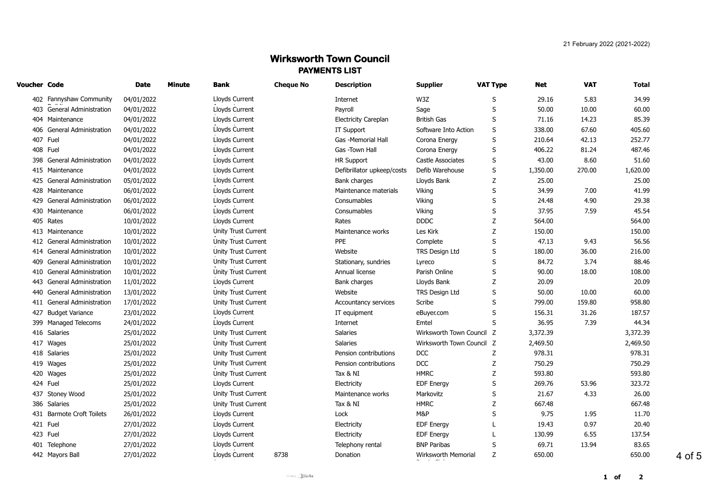# **Wirksworth Town Council PAYMENTS LIST**

| Voucher Code |                               | <b>Date</b> | <b>Minute</b> | Bank                       | <b>Cheque No</b> | <b>Description</b>          | <b>Supplier</b>           | <b>VAT Type</b> | Net      | <b>VAT</b> | Total    |
|--------------|-------------------------------|-------------|---------------|----------------------------|------------------|-----------------------------|---------------------------|-----------------|----------|------------|----------|
|              | 402 Fannyshaw Community       | 04/01/2022  |               | Lloyds Current             |                  | Internet                    | W3Z                       | S               | 29.16    | 5.83       | 34.99    |
|              | 403 General Administration    | 04/01/2022  |               | Lloyds Current             |                  | Payroll                     | Sage                      | S               | 50.00    | 10.00      | 60.00    |
|              | 404 Maintenance               | 04/01/2022  |               | Lloyds Current             |                  | <b>Electricity Careplan</b> | <b>British Gas</b>        | S               | 71.16    | 14.23      | 85.39    |
|              | 406 General Administration    | 04/01/2022  |               | Lloyds Current             |                  | IT Support                  | Software Into Action      | S               | 338.00   | 67.60      | 405.60   |
|              | 407 Fuel                      | 04/01/2022  |               | Lloyds Current             |                  | Gas -Memorial Hall          | Corona Energy             | S               | 210.64   | 42.13      | 252.77   |
|              | 408 Fuel                      | 04/01/2022  |               | Lloyds Current             |                  | Gas -Town Hall              | Corona Energy             | S               | 406.22   | 81.24      | 487.46   |
|              | 398 General Administration    | 04/01/2022  |               | Lloyds Current             |                  | <b>HR Support</b>           | Castle Associates         | S               | 43.00    | 8.60       | 51.60    |
|              | 415 Maintenance               | 04/01/2022  |               | Lloyds Current             |                  | Defibrillator upkeep/costs  | Defib Warehouse           | S               | 1,350.00 | 270.00     | 1,620.00 |
|              | 425 General Administration    | 05/01/2022  |               | Lloyds Current             |                  | Bank charges                | Lloyds Bank               | Ζ               | 25.00    |            | 25.00    |
|              | 428 Maintenance               | 06/01/2022  |               | Lloyds Current             |                  | Maintenance materials       | Viking                    | S               | 34.99    | 7.00       | 41.99    |
|              | 429 General Administration    | 06/01/2022  |               | Lloyds Current             |                  | Consumables                 | Viking                    | S               | 24.48    | 4.90       | 29.38    |
|              | 430 Maintenance               | 06/01/2022  |               | Lloyds Current             |                  | Consumables                 | Viking                    | S               | 37.95    | 7.59       | 45.54    |
|              | 405 Rates                     | 10/01/2022  |               | Lloyds Current             |                  | Rates                       | <b>DDDC</b>               | Z               | 564.00   |            | 564.00   |
|              | 413 Maintenance               | 10/01/2022  |               | Unity Trust Current        |                  | Maintenance works           | Les Kirk                  | Z               | 150.00   |            | 150.00   |
|              | 412 General Administration    | 10/01/2022  |               | Unity Trust Current        |                  | PPE                         | Complete                  | S               | 47.13    | 9.43       | 56.56    |
|              | 414 General Administration    | 10/01/2022  |               | Unity Trust Current        |                  | Website                     | TRS Design Ltd            | S               | 180.00   | 36.00      | 216.00   |
| 409          | <b>General Administration</b> | 10/01/2022  |               | Unity Trust Current        |                  | Stationary, sundries        | Lyreco                    | S               | 84.72    | 3.74       | 88.46    |
|              | 410 General Administration    | 10/01/2022  |               | Unity Trust Current        |                  | Annual license              | Parish Online             | S               | 90.00    | 18.00      | 108.00   |
| 443          | <b>General Administration</b> | 11/01/2022  |               | Lloyds Current             |                  | Bank charges                | Lloyds Bank               | Z               | 20.09    |            | 20.09    |
| 440          | <b>General Administration</b> | 13/01/2022  |               | <b>Unity Trust Current</b> |                  | Website                     | <b>TRS Design Ltd</b>     | S               | 50.00    | 10.00      | 60.00    |
|              | 411 General Administration    | 17/01/2022  |               | Unity Trust Current        |                  | Accountancy services        | Scribe                    | S               | 799.00   | 159.80     | 958.80   |
|              | 427 Budget Variance           | 23/01/2022  |               | Lloyds Current             |                  | IT equipment                | eBuyer.com                | S               | 156.31   | 31.26      | 187.57   |
|              | 399 Managed Telecoms          | 24/01/2022  |               | Lloyds Current             |                  | Internet                    | Emtel                     | S               | 36.95    | 7.39       | 44.34    |
|              | 416 Salaries                  | 25/01/2022  |               | Unity Trust Current        |                  | Salaries                    | Wirksworth Town Council Z |                 | 3,372.39 |            | 3,372.39 |
|              | 417 Wages                     | 25/01/2022  |               | <b>Unity Trust Current</b> |                  | Salaries                    | Wirksworth Town Council Z |                 | 2,469.50 |            | 2,469.50 |
|              | 418 Salaries                  | 25/01/2022  |               | Unity Trust Current        |                  | Pension contributions       | <b>DCC</b>                | Ζ               | 978.31   |            | 978.31   |
|              | 419 Wages                     | 25/01/2022  |               | Unity Trust Current        |                  | Pension contributions       | <b>DCC</b>                | Z               | 750.29   |            | 750.29   |
|              | 420 Wages                     | 25/01/2022  |               | <b>Unity Trust Current</b> |                  | Tax & NI                    | <b>HMRC</b>               | Z               | 593.80   |            | 593.80   |
|              | 424 Fuel                      | 25/01/2022  |               | Lloyds Current             |                  | Electricity                 | <b>EDF Energy</b>         | S               | 269.76   | 53.96      | 323.72   |
|              | 437 Stoney Wood               | 25/01/2022  |               | Unity Trust Current        |                  | Maintenance works           | Markovitz                 | S               | 21.67    | 4.33       | 26.00    |
| 386          | Salaries                      | 25/01/2022  |               | Unity Trust Current        |                  | Tax & NI                    | <b>HMRC</b>               | Ζ               | 667.48   |            | 667.48   |
|              | 431 Barmote Croft Toilets     | 26/01/2022  |               | Lloyds Current             |                  | Lock                        | M&P                       | S               | 9.75     | 1.95       | 11.70    |
|              | 421 Fuel                      | 27/01/2022  |               | Lloyds Current             |                  | Electricity                 | <b>EDF Energy</b>         |                 | 19.43    | 0.97       | 20.40    |
|              | 423 Fuel                      | 27/01/2022  |               | Lloyds Current             |                  | Electricity                 | <b>EDF Energy</b>         |                 | 130.99   | 6.55       | 137.54   |
|              | 401 Telephone                 | 27/01/2022  |               | Lloyds Current             |                  | Telephony rental            | <b>BNP Paribas</b>        | S               | 69.71    | 13.94      | 83.65    |
|              | 442 Mayors Ball               | 27/01/2022  |               | Lloyds Current             | 8738             | Donation                    | Wirksworth Memorial       | Z               | 650.00   |            | 650.00   |

4 of 5